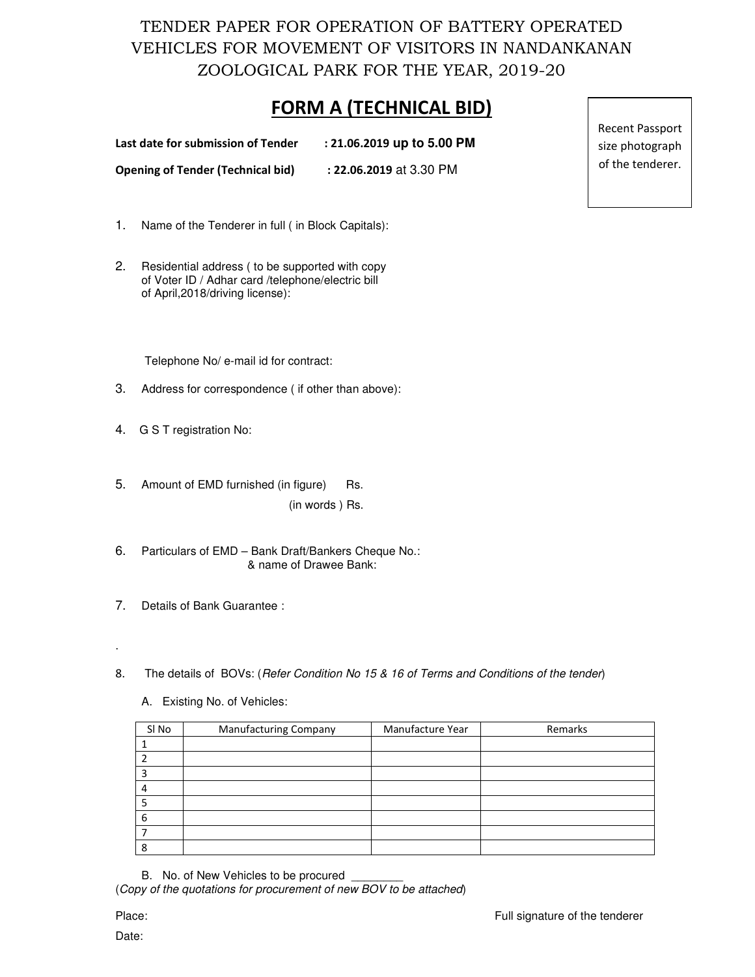TENDER PAPER FOR OPERATION OF BATTERY OPERATED VEHICLES FOR MOVEMENT OF VISITORS IN NANDANKANAN ZOOLOGICAL PARK FOR THE YEAR, 2019-20

## **FORM A (TECHNICAL BID)**

| Last date for submission of Tender       | $: 21.06.2019$ up to 5.00 PM |
|------------------------------------------|------------------------------|
| <b>Opening of Tender (Technical bid)</b> | <b>22.06.2019</b> at 3.30 PM |

- 1. Name of the Tenderer in full ( in Block Capitals):
- 2. Residential address ( to be supported with copy of Voter ID / Adhar card /telephone/electric bill of April,2018/driving license):

Telephone No/ e-mail id for contract:

- 3. Address for correspondence ( if other than above):
- 4. G S T registration No:
- 5. Amount of EMD furnished (in figure) Rs. (in words ) Rs.
- 6. Particulars of EMD Bank Draft/Bankers Cheque No.: & name of Drawee Bank:
- 7. Details of Bank Guarantee :
- 8. The details of BOVs: (Refer Condition No 15 & 16 of Terms and Conditions of the tender)
	- A. Existing No. of Vehicles:

| SI No | <b>Manufacturing Company</b> | Manufacture Year | Remarks |
|-------|------------------------------|------------------|---------|
|       |                              |                  |         |
|       |                              |                  |         |
|       |                              |                  |         |
|       |                              |                  |         |
|       |                              |                  |         |
| 6     |                              |                  |         |
|       |                              |                  |         |
| я     |                              |                  |         |

B. No. of New Vehicles to be procured

(Copy of the quotations for procurement of new BOV to be attached)

Date:

.

Recent Passport size photograph of the tenderer.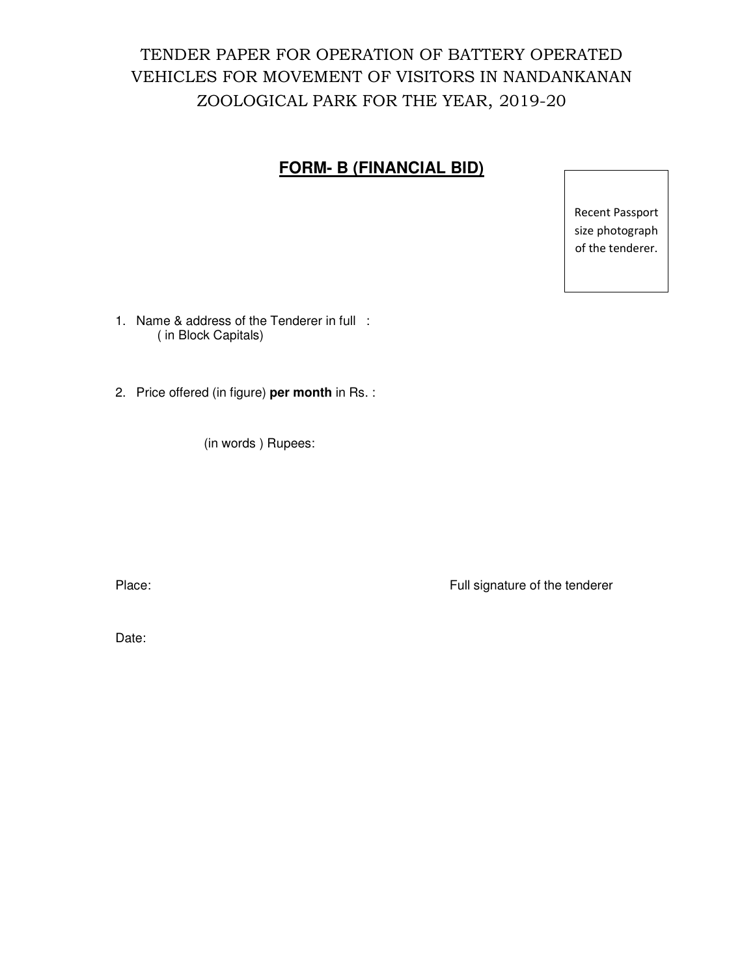# TENDER PAPER FOR OPERATION OF BATTERY OPERATED VEHICLES FOR MOVEMENT OF VISITORS IN NANDANKANAN ZOOLOGICAL PARK FOR THE YEAR, 2019-20

### **FORM- B (FINANCIAL BID)**

Recent Passport size photograph of the tenderer.

1. Name & address of the Tenderer in full : ( in Block Capitals)

2. Price offered (in figure) **per month** in Rs. :

(in words ) Rupees:

Place: Place: Full signature of the tenderer

Date: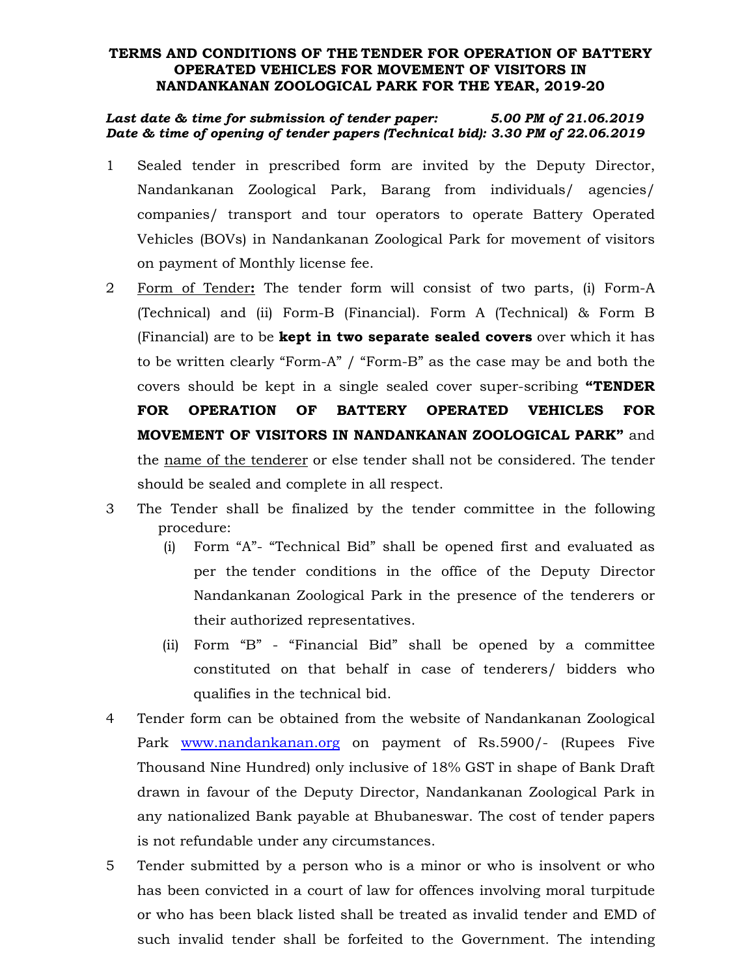#### **TERMS AND CONDITIONS OF THE TENDER FOR OPERATION OF BATTERY OPERATED VEHICLES FOR MOVEMENT OF VISITORS IN NANDANKANAN ZOOLOGICAL PARK FOR THE YEAR, 2019-20**

#### *Last date & time for submission of tender paper: 5.00 PM of 21.06.2019 Date & time of opening of tender papers (Technical bid): 3.30 PM of 22.06.2019*

- 1 Sealed tender in prescribed form are invited by the Deputy Director, Nandankanan Zoological Park, Barang from individuals/ agencies/ companies/ transport and tour operators to operate Battery Operated Vehicles (BOVs) in Nandankanan Zoological Park for movement of visitors on payment of Monthly license fee.
- 2 Form of Tender**:** The tender form will consist of two parts, (i) Form-A (Technical) and (ii) Form-B (Financial). Form A (Technical) & Form B (Financial) are to be **kept in two separate sealed covers** over which it has to be written clearly "Form-A" / "Form-B" as the case may be and both the covers should be kept in a single sealed cover super-scribing **"TENDER FOR OPERATION OF BATTERY OPERATED VEHICLES FOR MOVEMENT OF VISITORS IN NANDANKANAN ZOOLOGICAL PARK"** and the name of the tenderer or else tender shall not be considered. The tender should be sealed and complete in all respect.
- 3 The Tender shall be finalized by the tender committee in the following procedure:
	- (i) Form "A"- "Technical Bid" shall be opened first and evaluated as per the tender conditions in the office of the Deputy Director Nandankanan Zoological Park in the presence of the tenderers or their authorized representatives.
	- (ii) Form "B" "Financial Bid" shall be opened by a committee constituted on that behalf in case of tenderers/ bidders who qualifies in the technical bid.
- 4 Tender form can be obtained from the website of Nandankanan Zoological Park www.nandankanan.org on payment of Rs.5900/- (Rupees Five Thousand Nine Hundred) only inclusive of 18% GST in shape of Bank Draft drawn in favour of the Deputy Director, Nandankanan Zoological Park in any nationalized Bank payable at Bhubaneswar. The cost of tender papers is not refundable under any circumstances.
- 5 Tender submitted by a person who is a minor or who is insolvent or who has been convicted in a court of law for offences involving moral turpitude or who has been black listed shall be treated as invalid tender and EMD of such invalid tender shall be forfeited to the Government. The intending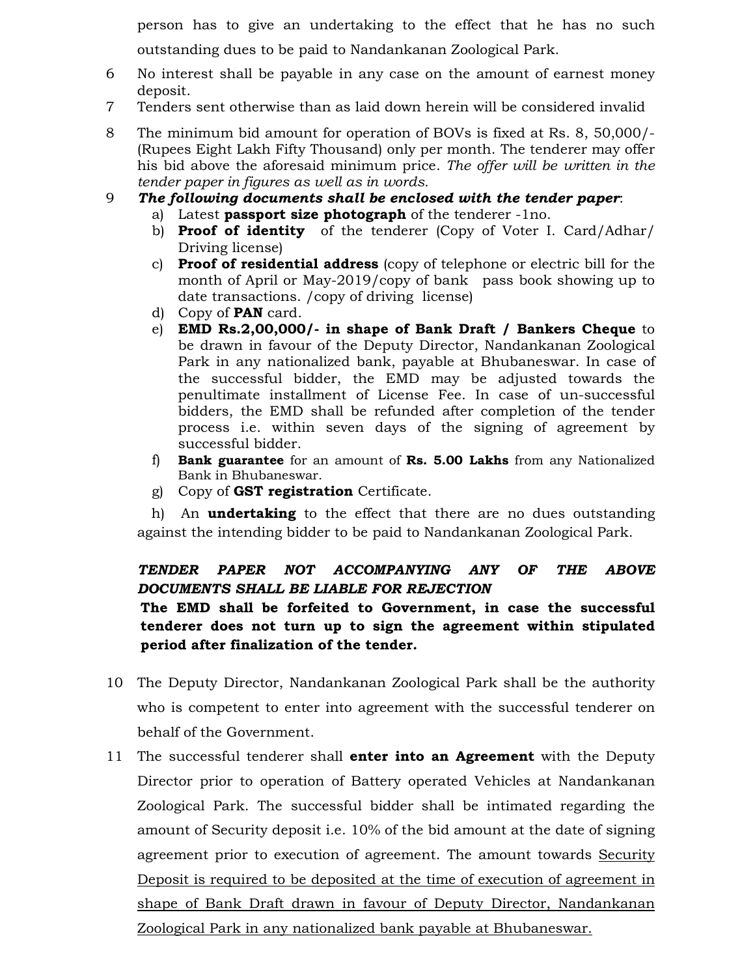person has to give an undertaking to the effect that he has no such outstanding dues to be paid to Nandankanan Zoological Park.

- 6 No interest shall be payable in any case on the amount of earnest money deposit.
- 7 Tenders sent otherwise than as laid down herein will be considered invalid
- 8 The minimum bid amount for operation of BOVs is fixed at Rs. 8, 50,000/- (Rupees Eight Lakh Fifty Thousand) only per month. The tenderer may offer his bid above the aforesaid minimum price. *The offer will be written in the tender paper in figures as well as in words.*
- 9 *The following documents shall be enclosed with the tender paper*:
	- a) Latest **passport size photograph** of the tenderer -1no.
	- b) **Proof of identity** of the tenderer (Copy of Voter I. Card/Adhar/ Driving license)
	- c) **Proof of residential address** (copy of telephone or electric bill for the month of April or May-2019/copy of bank pass book showing up to date transactions. /copy of driving license)
	- d) Copy of **PAN** card.
	- e) **EMD Rs.2,00,000/- in shape of Bank Draft / Bankers Cheque** to be drawn in favour of the Deputy Director, Nandankanan Zoological Park in any nationalized bank, payable at Bhubaneswar. In case of the successful bidder, the EMD may be adjusted towards the penultimate installment of License Fee. In case of un-successful bidders, the EMD shall be refunded after completion of the tender process i.e. within seven days of the signing of agreement by successful bidder.
	- f) **Bank guarantee** for an amount of **Rs. 5.00 Lakhs** from any Nationalized Bank in Bhubaneswar.
	- g) Copy of **GST registration** Certificate.

h) An **undertaking** to the effect that there are no dues outstanding against the intending bidder to be paid to Nandankanan Zoological Park.

### *TENDER PAPER NOT ACCOMPANYING ANY OF THE ABOVE DOCUMENTS SHALL BE LIABLE FOR REJECTION*

**The EMD shall be forfeited to Government, in case the successful tenderer does not turn up to sign the agreement within stipulated period after finalization of the tender.** 

- 10 The Deputy Director, Nandankanan Zoological Park shall be the authority who is competent to enter into agreement with the successful tenderer on behalf of the Government.
- 11 The successful tenderer shall **enter into an Agreement** with the Deputy Director prior to operation of Battery operated Vehicles at Nandankanan Zoological Park. The successful bidder shall be intimated regarding the amount of Security deposit i.e. 10% of the bid amount at the date of signing agreement prior to execution of agreement. The amount towards Security Deposit is required to be deposited at the time of execution of agreement in shape of Bank Draft drawn in favour of Deputy Director, Nandankanan Zoological Park in any nationalized bank payable at Bhubaneswar.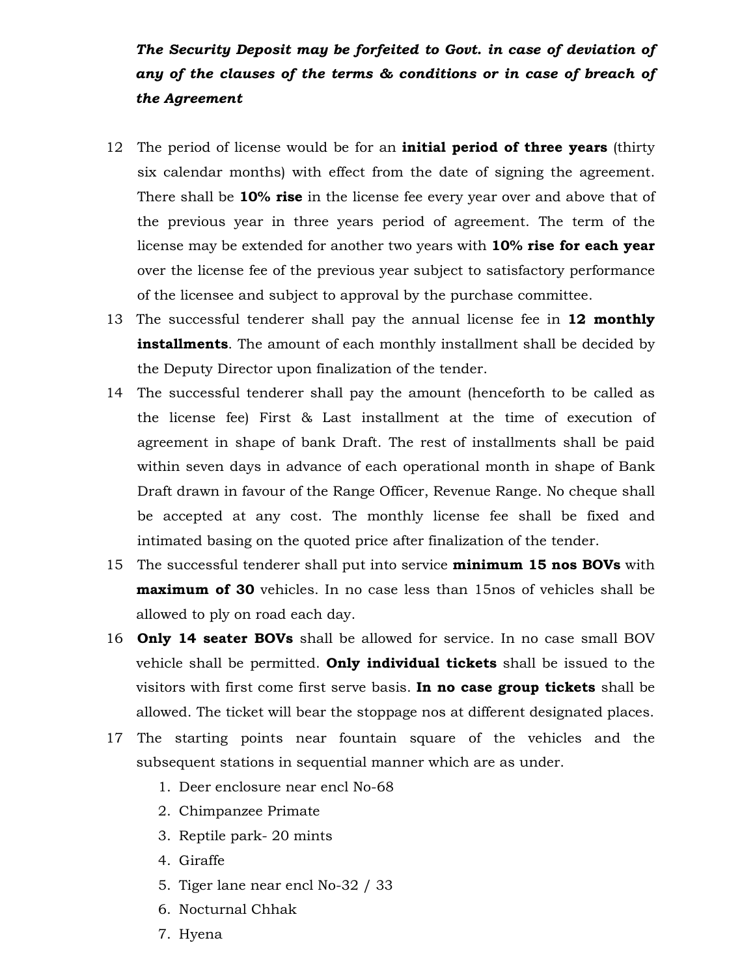*The Security Deposit may be forfeited to Govt. in case of deviation of any of the clauses of the terms & conditions or in case of breach of the Agreement* 

- 12 The period of license would be for an **initial period of three years** (thirty six calendar months) with effect from the date of signing the agreement. There shall be **10% rise** in the license fee every year over and above that of the previous year in three years period of agreement. The term of the license may be extended for another two years with **10% rise for each year** over the license fee of the previous year subject to satisfactory performance of the licensee and subject to approval by the purchase committee.
- 13 The successful tenderer shall pay the annual license fee in **12 monthly installments**. The amount of each monthly installment shall be decided by the Deputy Director upon finalization of the tender.
- 14 The successful tenderer shall pay the amount (henceforth to be called as the license fee) First & Last installment at the time of execution of agreement in shape of bank Draft. The rest of installments shall be paid within seven days in advance of each operational month in shape of Bank Draft drawn in favour of the Range Officer, Revenue Range. No cheque shall be accepted at any cost. The monthly license fee shall be fixed and intimated basing on the quoted price after finalization of the tender.
- 15 The successful tenderer shall put into service **minimum 15 nos BOVs** with **maximum of 30** vehicles. In no case less than 15nos of vehicles shall be allowed to ply on road each day.
- 16 **Only 14 seater BOVs** shall be allowed for service. In no case small BOV vehicle shall be permitted. **Only individual tickets** shall be issued to the visitors with first come first serve basis. **In no case group tickets** shall be allowed. The ticket will bear the stoppage nos at different designated places.
- 17 The starting points near fountain square of the vehicles and the subsequent stations in sequential manner which are as under.
	- 1. Deer enclosure near encl No-68
	- 2. Chimpanzee Primate
	- 3. Reptile park- 20 mints
	- 4. Giraffe
	- 5. Tiger lane near encl No-32 / 33
	- 6. Nocturnal Chhak
	- 7. Hyena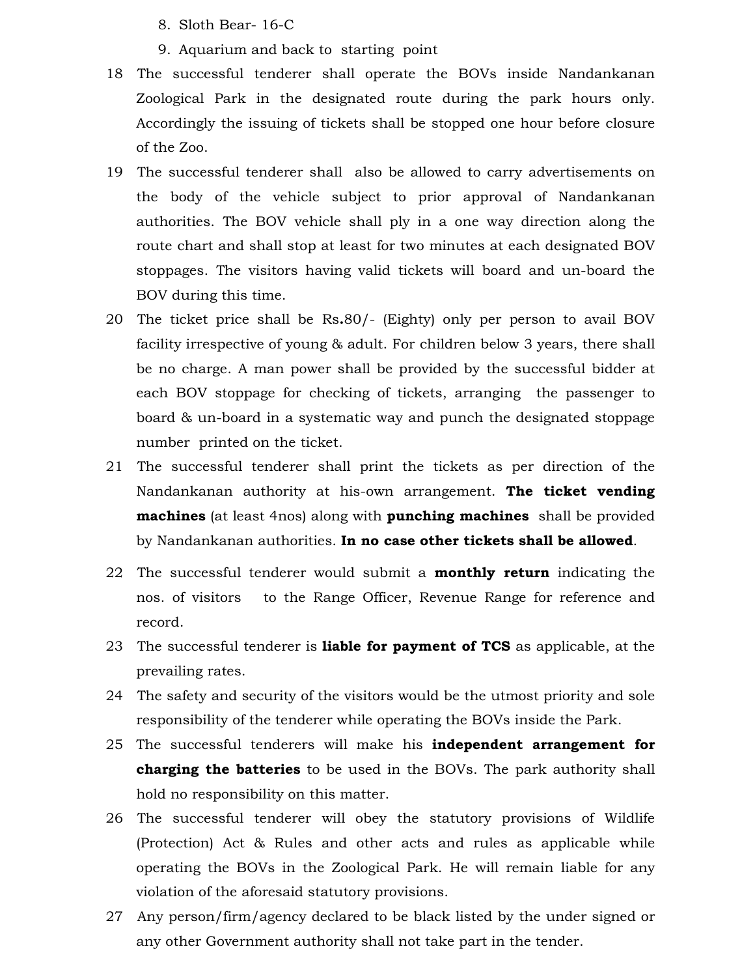- 8. Sloth Bear- 16-C
- 9. Aquarium and back to starting point
- 18 The successful tenderer shall operate the BOVs inside Nandankanan Zoological Park in the designated route during the park hours only. Accordingly the issuing of tickets shall be stopped one hour before closure of the Zoo.
- 19 The successful tenderer shall also be allowed to carry advertisements on the body of the vehicle subject to prior approval of Nandankanan authorities. The BOV vehicle shall ply in a one way direction along the route chart and shall stop at least for two minutes at each designated BOV stoppages. The visitors having valid tickets will board and un-board the BOV during this time.
- 20 The ticket price shall be Rs**.**80/- (Eighty) only per person to avail BOV facility irrespective of young & adult. For children below 3 years, there shall be no charge. A man power shall be provided by the successful bidder at each BOV stoppage for checking of tickets, arranging the passenger to board & un-board in a systematic way and punch the designated stoppage number printed on the ticket.
- 21 The successful tenderer shall print the tickets as per direction of the Nandankanan authority at his-own arrangement. **The ticket vending machines** (at least 4nos) along with **punching machines** shall be provided by Nandankanan authorities. **In no case other tickets shall be allowed**.
- 22 The successful tenderer would submit a **monthly return** indicating the nos. of visitors to the Range Officer, Revenue Range for reference and record.
- 23 The successful tenderer is **liable for payment of TCS** as applicable, at the prevailing rates.
- 24 The safety and security of the visitors would be the utmost priority and sole responsibility of the tenderer while operating the BOVs inside the Park.
- 25 The successful tenderers will make his **independent arrangement for charging the batteries** to be used in the BOVs. The park authority shall hold no responsibility on this matter.
- 26 The successful tenderer will obey the statutory provisions of Wildlife (Protection) Act & Rules and other acts and rules as applicable while operating the BOVs in the Zoological Park. He will remain liable for any violation of the aforesaid statutory provisions.
- 27 Any person/firm/agency declared to be black listed by the under signed or any other Government authority shall not take part in the tender.